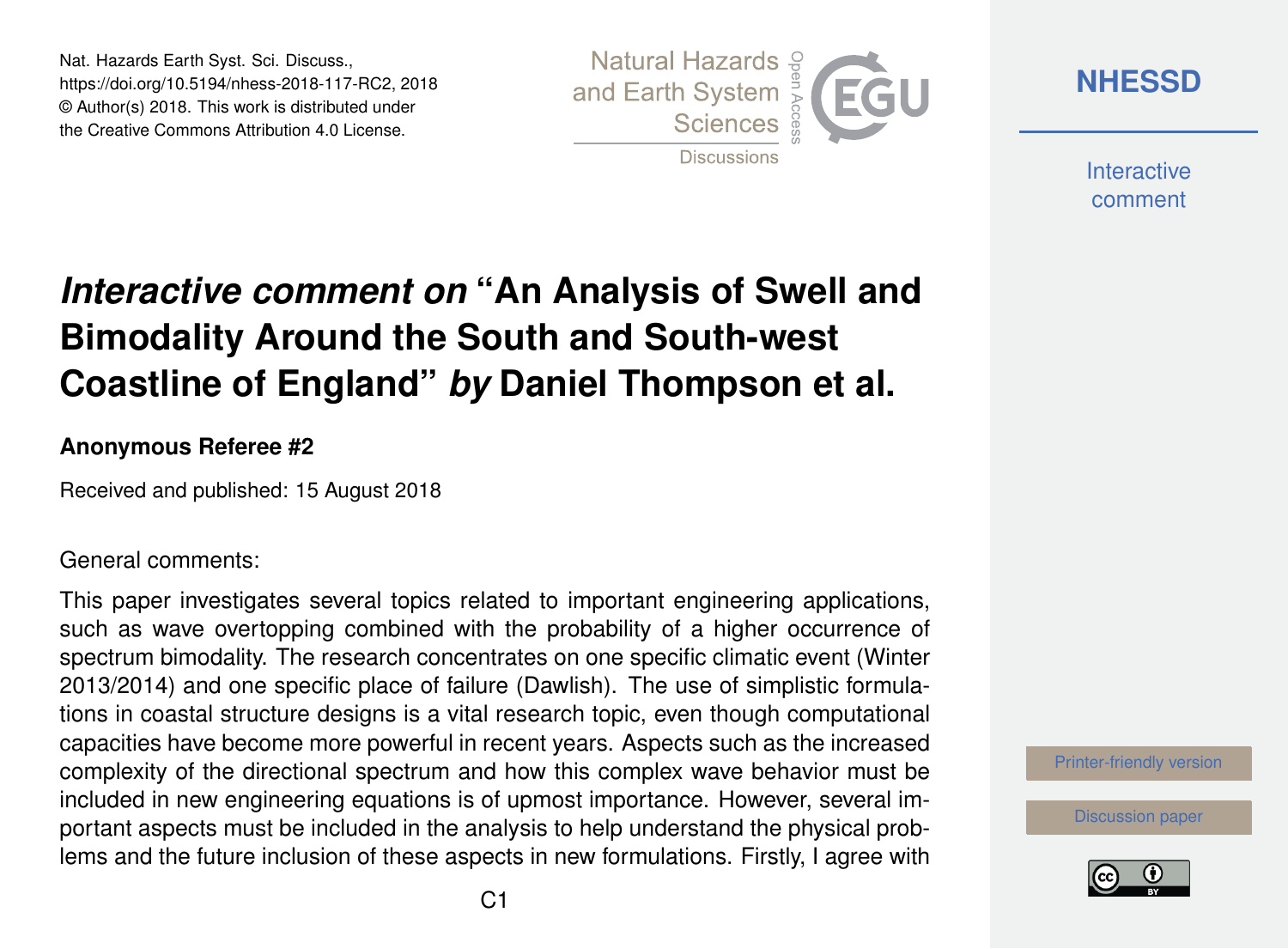Nat. Hazards Earth Syst. Sci. Discuss., https://doi.org/10.5194/nhess-2018-117-RC2, 2018 © Author(s) 2018. This work is distributed under the Creative Commons Attribution 4.0 License.



**[NHESSD](https://www.nat-hazards-earth-syst-sci-discuss.net/)**

**Interactive** comment

# *Interactive comment on* **"An Analysis of Swell and Bimodality Around the South and South-west Coastline of England"** *by* **Daniel Thompson et al.**

#### **Anonymous Referee #2**

Received and published: 15 August 2018

General comments:

This paper investigates several topics related to important engineering applications, such as wave overtopping combined with the probability of a higher occurrence of spectrum bimodality. The research concentrates on one specific climatic event (Winter 2013/2014) and one specific place of failure (Dawlish). The use of simplistic formulations in coastal structure designs is a vital research topic, even though computational capacities have become more powerful in recent years. Aspects such as the increased complexity of the directional spectrum and how this complex wave behavior must be included in new engineering equations is of upmost importance. However, several important aspects must be included in the analysis to help understand the physical problems and the future inclusion of these aspects in new formulations. Firstly, I agree with



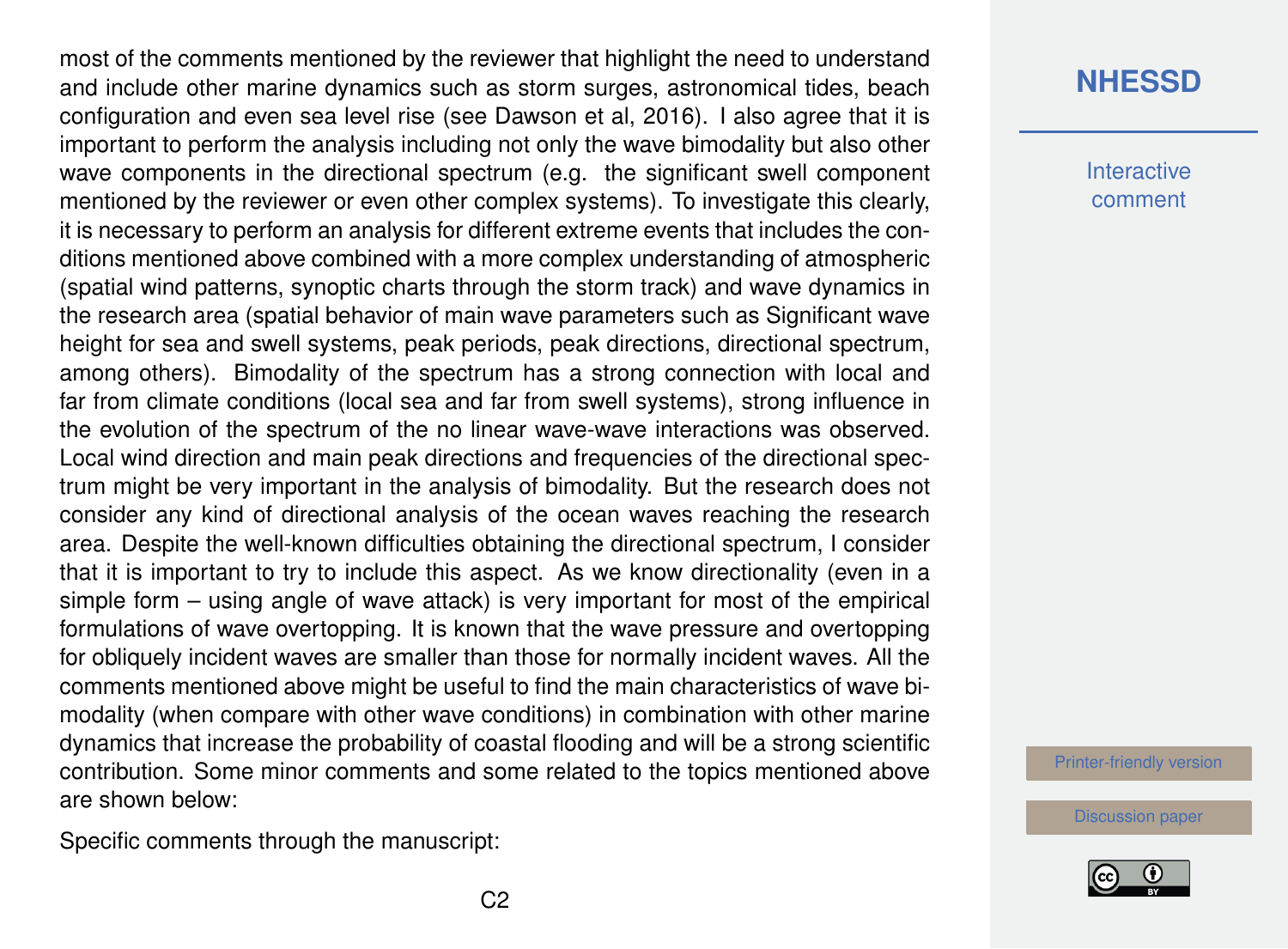most of the comments mentioned by the reviewer that highlight the need to understand and include other marine dynamics such as storm surges, astronomical tides, beach configuration and even sea level rise (see Dawson et al, 2016). I also agree that it is important to perform the analysis including not only the wave bimodality but also other wave components in the directional spectrum (e.g. the significant swell component mentioned by the reviewer or even other complex systems). To investigate this clearly, it is necessary to perform an analysis for different extreme events that includes the conditions mentioned above combined with a more complex understanding of atmospheric (spatial wind patterns, synoptic charts through the storm track) and wave dynamics in the research area (spatial behavior of main wave parameters such as Significant wave height for sea and swell systems, peak periods, peak directions, directional spectrum, among others). Bimodality of the spectrum has a strong connection with local and far from climate conditions (local sea and far from swell systems), strong influence in the evolution of the spectrum of the no linear wave-wave interactions was observed. Local wind direction and main peak directions and frequencies of the directional spectrum might be very important in the analysis of bimodality. But the research does not consider any kind of directional analysis of the ocean waves reaching the research area. Despite the well-known difficulties obtaining the directional spectrum, I consider that it is important to try to include this aspect. As we know directionality (even in a simple form – using angle of wave attack) is very important for most of the empirical formulations of wave overtopping. It is known that the wave pressure and overtopping for obliquely incident waves are smaller than those for normally incident waves. All the comments mentioned above might be useful to find the main characteristics of wave bimodality (when compare with other wave conditions) in combination with other marine dynamics that increase the probability of coastal flooding and will be a strong scientific contribution. Some minor comments and some related to the topics mentioned above are shown below:

Specific comments through the manuscript:

## **[NHESSD](https://www.nat-hazards-earth-syst-sci-discuss.net/)**

**Interactive** comment

[Printer-friendly version](https://www.nat-hazards-earth-syst-sci-discuss.net/nhess-2018-117/nhess-2018-117-RC2-print.pdf)

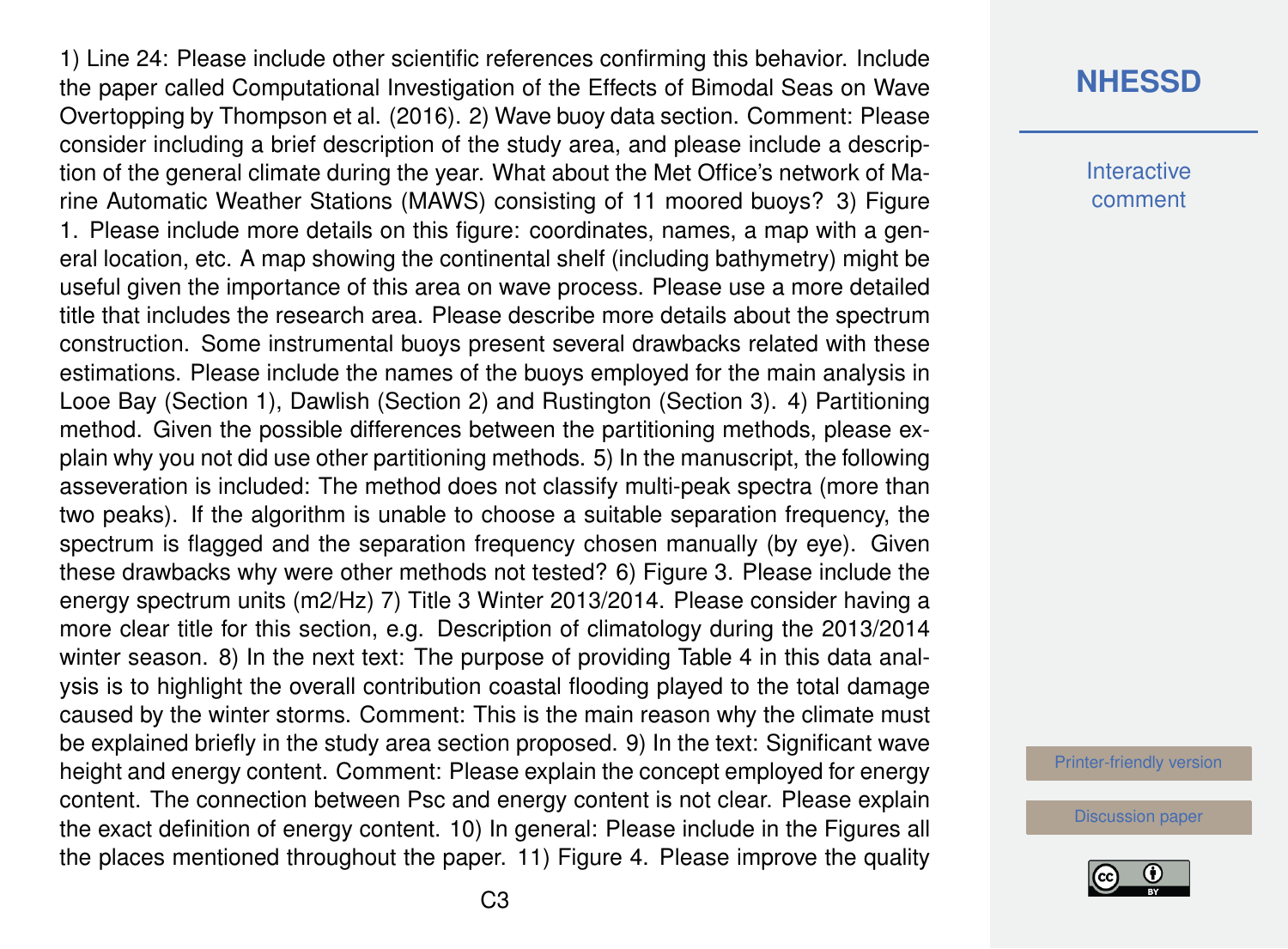1) Line 24: Please include other scientific references confirming this behavior. Include the paper called Computational Investigation of the Effects of Bimodal Seas on Wave Overtopping by Thompson et al. (2016). 2) Wave buoy data section. Comment: Please consider including a brief description of the study area, and please include a description of the general climate during the year. What about the Met Office's network of Marine Automatic Weather Stations (MAWS) consisting of 11 moored buoys? 3) Figure 1. Please include more details on this figure: coordinates, names, a map with a general location, etc. A map showing the continental shelf (including bathymetry) might be useful given the importance of this area on wave process. Please use a more detailed title that includes the research area. Please describe more details about the spectrum construction. Some instrumental buoys present several drawbacks related with these estimations. Please include the names of the buoys employed for the main analysis in Looe Bay (Section 1), Dawlish (Section 2) and Rustington (Section 3). 4) Partitioning method. Given the possible differences between the partitioning methods, please explain why you not did use other partitioning methods. 5) In the manuscript, the following asseveration is included: The method does not classify multi-peak spectra (more than two peaks). If the algorithm is unable to choose a suitable separation frequency, the spectrum is flagged and the separation frequency chosen manually (by eye). Given these drawbacks why were other methods not tested? 6) Figure 3. Please include the energy spectrum units (m2/Hz) 7) Title 3 Winter 2013/2014. Please consider having a more clear title for this section, e.g. Description of climatology during the 2013/2014 winter season. 8) In the next text: The purpose of providing Table 4 in this data analysis is to highlight the overall contribution coastal flooding played to the total damage caused by the winter storms. Comment: This is the main reason why the climate must be explained briefly in the study area section proposed. 9) In the text: Significant wave height and energy content. Comment: Please explain the concept employed for energy content. The connection between Psc and energy content is not clear. Please explain the exact definition of energy content. 10) In general: Please include in the Figures all the places mentioned throughout the paper. 11) Figure 4. Please improve the quality

### **[NHESSD](https://www.nat-hazards-earth-syst-sci-discuss.net/)**

**Interactive** comment

[Printer-friendly version](https://www.nat-hazards-earth-syst-sci-discuss.net/nhess-2018-117/nhess-2018-117-RC2-print.pdf)

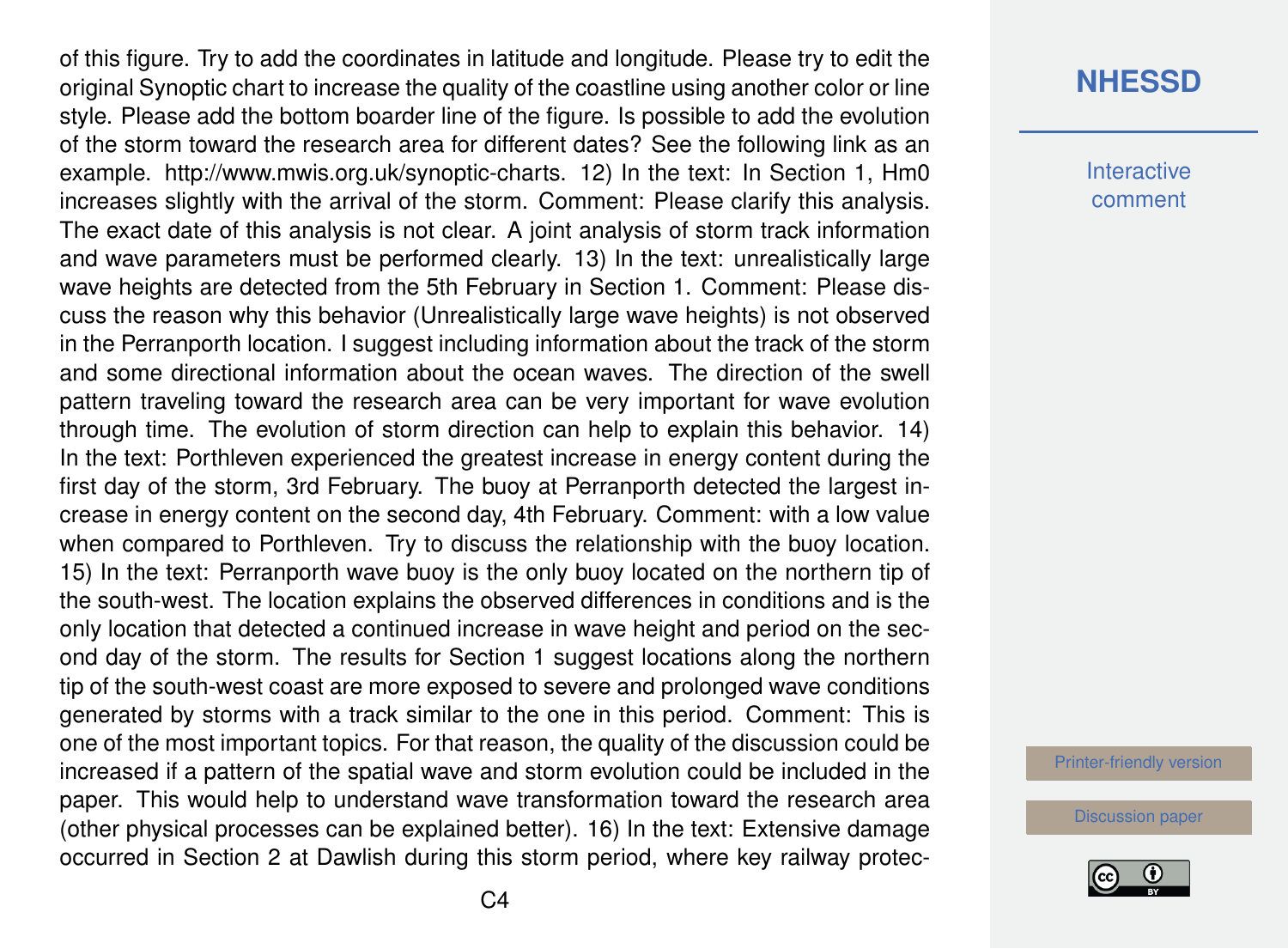of this figure. Try to add the coordinates in latitude and longitude. Please try to edit the original Synoptic chart to increase the quality of the coastline using another color or line style. Please add the bottom boarder line of the figure. Is possible to add the evolution of the storm toward the research area for different dates? See the following link as an example. http://www.mwis.org.uk/synoptic-charts. 12) In the text: In Section 1, Hm0 increases slightly with the arrival of the storm. Comment: Please clarify this analysis. The exact date of this analysis is not clear. A joint analysis of storm track information and wave parameters must be performed clearly. 13) In the text: unrealistically large wave heights are detected from the 5th February in Section 1. Comment: Please discuss the reason why this behavior (Unrealistically large wave heights) is not observed in the Perranporth location. I suggest including information about the track of the storm and some directional information about the ocean waves. The direction of the swell pattern traveling toward the research area can be very important for wave evolution through time. The evolution of storm direction can help to explain this behavior. 14) In the text: Porthleven experienced the greatest increase in energy content during the first day of the storm, 3rd February. The buoy at Perranporth detected the largest increase in energy content on the second day, 4th February. Comment: with a low value when compared to Porthleven. Try to discuss the relationship with the buoy location. 15) In the text: Perranporth wave buoy is the only buoy located on the northern tip of the south-west. The location explains the observed differences in conditions and is the only location that detected a continued increase in wave height and period on the second day of the storm. The results for Section 1 suggest locations along the northern tip of the south-west coast are more exposed to severe and prolonged wave conditions generated by storms with a track similar to the one in this period. Comment: This is one of the most important topics. For that reason, the quality of the discussion could be increased if a pattern of the spatial wave and storm evolution could be included in the paper. This would help to understand wave transformation toward the research area (other physical processes can be explained better). 16) In the text: Extensive damage occurred in Section 2 at Dawlish during this storm period, where key railway protec-

#### **[NHESSD](https://www.nat-hazards-earth-syst-sci-discuss.net/)**

**Interactive** comment

[Printer-friendly version](https://www.nat-hazards-earth-syst-sci-discuss.net/nhess-2018-117/nhess-2018-117-RC2-print.pdf)

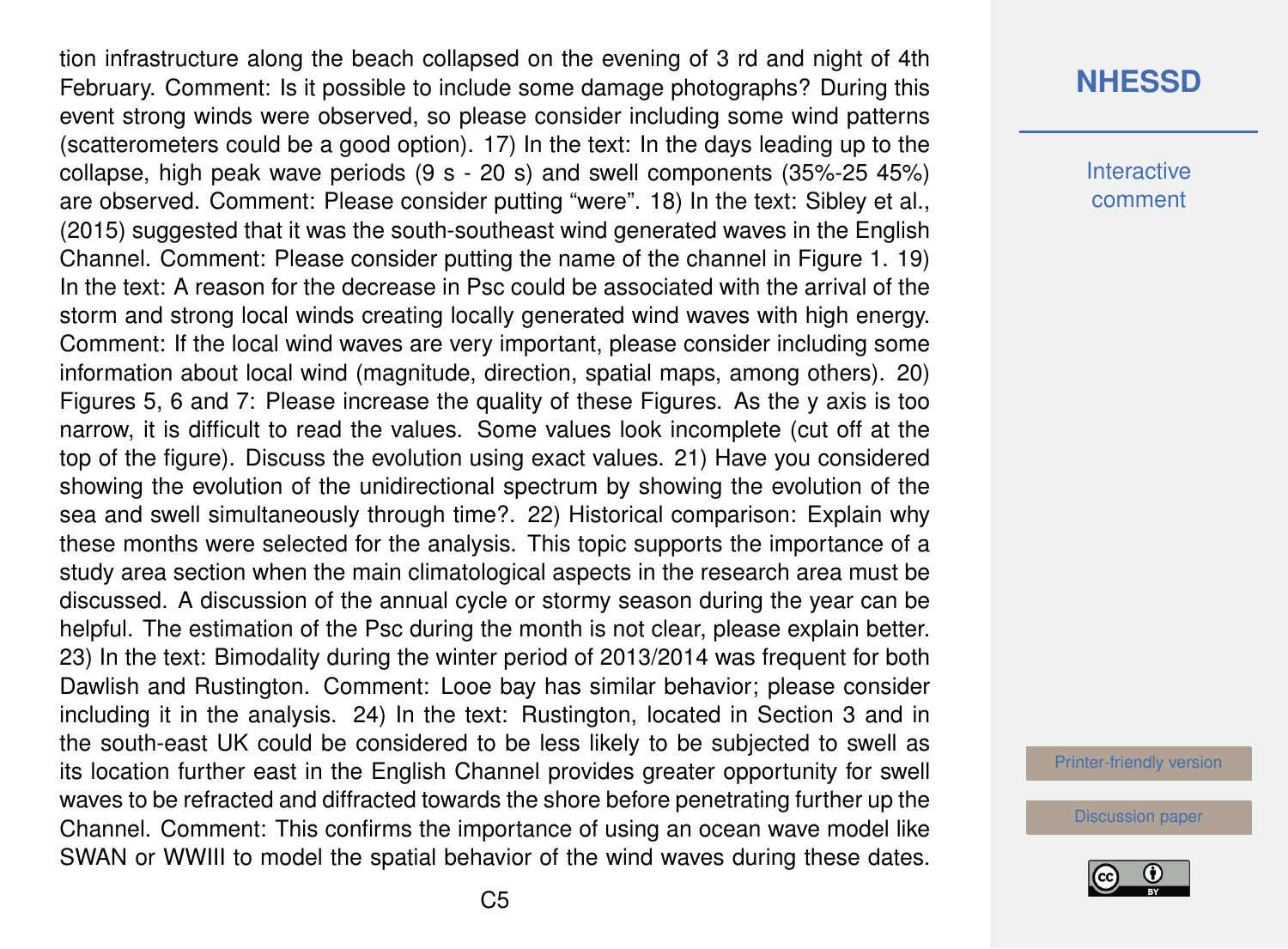tion infrastructure along the beach collapsed on the evening of 3 rd and night of 4th February. Comment: Is it possible to include some damage photographs? During this event strong winds were observed, so please consider including some wind patterns (scatterometers could be a good option). 17) In the text: In the days leading up to the collapse, high peak wave periods (9 s - 20 s) and swell components (35%-25 45%) are observed. Comment: Please consider putting "were". 18) In the text: Sibley et al., (2015) suggested that it was the south-southeast wind generated waves in the English Channel. Comment: Please consider putting the name of the channel in Figure 1. 19) In the text: A reason for the decrease in Psc could be associated with the arrival of the storm and strong local winds creating locally generated wind waves with high energy. Comment: If the local wind waves are very important, please consider including some information about local wind (magnitude, direction, spatial maps, among others). 20) Figures 5, 6 and 7: Please increase the quality of these Figures. As the y axis is too narrow, it is difficult to read the values. Some values look incomplete (cut off at the top of the figure). Discuss the evolution using exact values. 21) Have you considered showing the evolution of the unidirectional spectrum by showing the evolution of the sea and swell simultaneously through time?. 22) Historical comparison: Explain why these months were selected for the analysis. This topic supports the importance of a study area section when the main climatological aspects in the research area must be discussed. A discussion of the annual cycle or stormy season during the year can be helpful. The estimation of the Psc during the month is not clear, please explain better. 23) In the text: Bimodality during the winter period of 2013/2014 was frequent for both Dawlish and Rustington. Comment: Looe bay has similar behavior; please consider including it in the analysis. 24) In the text: Rustington, located in Section 3 and in the south-east UK could be considered to be less likely to be subjected to swell as its location further east in the English Channel provides greater opportunity for swell waves to be refracted and diffracted towards the shore before penetrating further up the Channel. Comment: This confirms the importance of using an ocean wave model like SWAN or WWIII to model the spatial behavior of the wind waves during these dates.

### **[NHESSD](https://www.nat-hazards-earth-syst-sci-discuss.net/)**

**Interactive** comment

[Printer-friendly version](https://www.nat-hazards-earth-syst-sci-discuss.net/nhess-2018-117/nhess-2018-117-RC2-print.pdf)